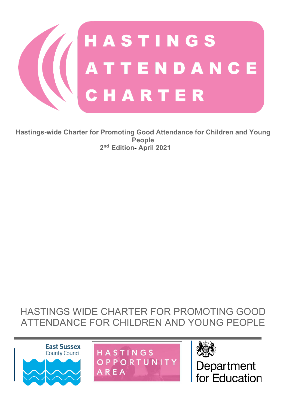

**Hastings-wide Charter for Promoting Good Attendance for Children and Young People 2nd Edition- April 2021**

## HASTINGS WIDE CHARTER FOR PROMOTING GOOD ATTENDANCE FOR CHILDREN AND YOUNG PEOPLE







Department for Education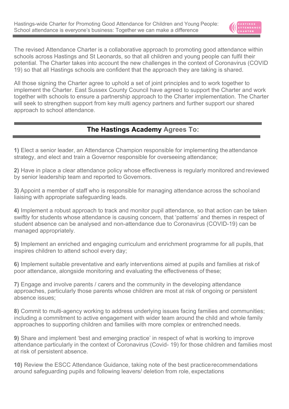

The revised Attendance Charter is a collaborative approach to promoting good attendance within schools across Hastings and St Leonards, so that all children and young people can fulfil their potential. The Charter takes into account the new challenges in the context of Coronavirus (COVID 19) so that all Hastings schools are confident that the approach they are taking is shared.

All those signing the Charter agree to uphold a set of joint principles and to work together to implement the Charter. East Sussex County Council have agreed to support the Charter and work together with schools to ensure a partnership approach to the Charter implementation. The Charter will seek to strengthen support from key multi agency partners and further support our shared approach to school attendance.

### **The Hastings Academy Agrees To:**

**1)** Elect a senior leader, an Attendance Champion responsible for implementing theattendance strategy, and elect and train a Governor responsible for overseeing attendance;

**2)** Have in place a clear attendance policy whose effectiveness is regularly monitored and reviewed by senior leadership team and reported to Governors.

**3)** Appoint a member of staff who is responsible for managing attendance across the schooland liaising with appropriate safeguarding leads.

**4)** Implement a robust approach to track and monitor pupil attendance, so that action can be taken swiftly for students whose attendance is causing concern, that 'patterns' and themes in respect of student absence can be analysed and non-attendance due to Coronavirus (COVID-19) can be managed appropriately.

**5)** Implement an enriched and engaging curriculum and enrichment programme for all pupils,that inspires children to attend school every day;

**6)** Implement suitable preventative and early interventions aimed at pupils and families at riskof poor attendance, alongside monitoring and evaluating the effectiveness of these;

**7)** Engage and involve parents / carers and the community in the developing attendance approaches, particularly those parents whose children are most at risk of ongoing or persistent absence issues;

**8)** Commit to multi-agency working to address underlying issues facing families and communities; including a commitment to active engagement with wider team around the child and whole family approaches to supporting children and families with more complex or entrenched needs.

**9)** Share and implement 'best and emerging practice' in respect of what is working to improve attendance particularly in the context of Coronavirus (Covid- 19) for those children and families most at risk of persistent absence.

**10)** Review the ESCC Attendance Guidance, taking note of the best practicerecommendations around safeguarding pupils and following leavers/ deletion from role, expectations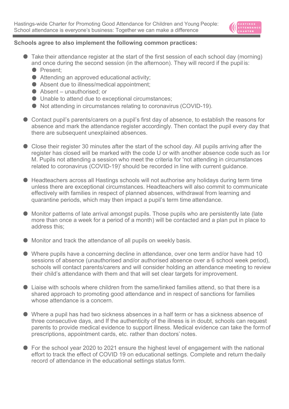

#### **Schools agree to also implement the following common practices:**

- Take their attendance register at the start of the first session of each school day (morning) and once during the second session (in the afternoon). They will record if the pupil is:
	- Present:
	- $\bullet$  Attending an approved educational activity;
	- Absent due to illness/medical appointment;
	- Absent unauthorised; or
	- Unable to attend due to exceptional circumstances;
	- Not attending in circumstances relating to coronavirus (COVID-19).
- Contact pupil's parents/carers on a pupil's first day of absence, to establish the reasons for absence and mark the attendance register accordingly. Then contact the pupil every day that there are subsequent unexplained absences.
- Close their register 30 minutes after the start of the school day. All pupils arriving after the register has closed will be marked with the code U or with another absence code such as Ior M. Pupils not attending a session who meet the criteria for 'not attending in circumstances related to coronavirus (COVID-19)' should be recorded in line with current guidance.
- Headteachers across all Hastings schools will not authorise any holidays during term time unless there are exceptional circumstances. Headteachers will also commit to communicate effectively with families in respect of planned absences, withdrawal from learning and quarantine periods, which may then impact a pupil's term time attendance.
- Monitor patterns of late arrival amongst pupils. Those pupils who are persistently late (late more than once a week for a period of a month) will be contacted and a plan put in place to address this;
- Monitor and track the attendance of all pupils on weekly basis.
- Where pupils have a concerning decline in attendance, over one term and/or have had 10 sessions of absence (unauthorised and/or authorised absence over a 6 school week period), schools will contact parents/carers and will consider holding an attendance meeting to review their child's attendance with them and that will set clear targets for improvement.
- Liaise with schools where children from the same/linked families attend, so that there is a shared approach to promoting good attendance and in respect of sanctions for families whose attendance is a concern.
- Where a pupil has had two sickness absences in a half term or has a sickness absence of three consecutive days, and If the authenticity of the illness is in doubt, schools can request parents to provide medical evidence to support illness. Medical evidence can take the formof prescriptions, appointment cards, etc. rather than doctors' notes.
- For the school year 2020 to 2021 ensure the highest level of engagement with the national effort to track the effect of COVID 19 on educational settings. Complete and return thedaily record of attendance in the educational settings status form.